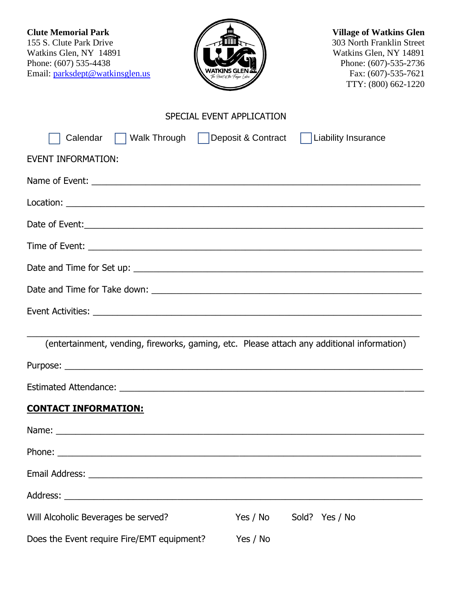**Clute Memorial Park Village of Watkins Glen**<br>155 S. Clute Park Drive **155 S.** Clute Park Drive **155 S.** Clute Park Drive Watkins Glen, NY 14891<br>Phone: (607) 535-4438 Email: [parksdept@watkinsglen.us](mailto:parksdept@watkinsglen.us)



303 North Franklin Street<br>Watkins Glen, NY 14891 **Phone:** (607)-535-2736<br> **Phone:** (607)-535-2736<br>
Fax: (607)-535-7621 TTY: (800) 662-1220

# SPECIAL EVENT APPLICATION

| Calendar<br>Walk Through   Deposit & Contract   Liability Insurance                                                                                                                                                           |          |                |
|-------------------------------------------------------------------------------------------------------------------------------------------------------------------------------------------------------------------------------|----------|----------------|
| <b>EVENT INFORMATION:</b>                                                                                                                                                                                                     |          |                |
|                                                                                                                                                                                                                               |          |                |
|                                                                                                                                                                                                                               |          |                |
|                                                                                                                                                                                                                               |          |                |
|                                                                                                                                                                                                                               |          |                |
|                                                                                                                                                                                                                               |          |                |
|                                                                                                                                                                                                                               |          |                |
|                                                                                                                                                                                                                               |          |                |
|                                                                                                                                                                                                                               |          |                |
| (entertainment, vending, fireworks, gaming, etc. Please attach any additional information)                                                                                                                                    |          |                |
|                                                                                                                                                                                                                               |          |                |
|                                                                                                                                                                                                                               |          |                |
| <b>CONTACT INFORMATION:</b>                                                                                                                                                                                                   |          |                |
|                                                                                                                                                                                                                               |          |                |
|                                                                                                                                                                                                                               |          |                |
| Email Address: National Address: National Address: National Address: National Address: National Address: National Address: National Address: National Address: National Address: National Address: National Address: National |          |                |
|                                                                                                                                                                                                                               |          |                |
| Will Alcoholic Beverages be served?                                                                                                                                                                                           | Yes / No | Sold? Yes / No |
| Does the Event require Fire/EMT equipment?                                                                                                                                                                                    | Yes / No |                |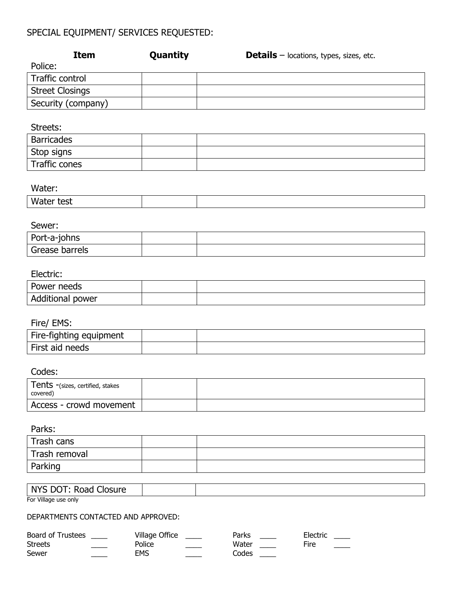# SPECIAL EQUIPMENT/ SERVICES REQUESTED:

|                        | <b>Item</b>        | Quantity | <b>Details</b> – locations, types, sizes, etc. |  |
|------------------------|--------------------|----------|------------------------------------------------|--|
| Police:                |                    |          |                                                |  |
| Traffic control        |                    |          |                                                |  |
| <b>Street Closings</b> |                    |          |                                                |  |
|                        | Security (company) |          |                                                |  |

#### Streets:

| Barricades    |  |
|---------------|--|
| Stop signs    |  |
| Traffic cones |  |

#### Water:

| Wate<br>test<br>.<br>$  -$ |  |  |
|----------------------------|--|--|
|                            |  |  |

#### Sewer:

| Port-a-johns   |  |
|----------------|--|
| Grease barrels |  |

## Electric:

| Power<br>needs      |  |
|---------------------|--|
| Additional<br>power |  |

## Fire/ EMS:

| -----------             |  |
|-------------------------|--|
| Fire-fighting equipment |  |
| First aid needs         |  |

## Codes:

| Tents -(sizes, certified, stakes<br>covered) |  |
|----------------------------------------------|--|
| Access - crowd movement                      |  |

## Parks:

| Trash cans    |  |
|---------------|--|
| Trash removal |  |
| Parking       |  |

### NYS DOT: Road Closure

For Village use only

#### DEPARTMENTS CONTACTED AND APPROVED:

| Board of Trustees | Village Office | Parks | Electric |
|-------------------|----------------|-------|----------|
| <b>Streets</b>    | Police         | Water | Fire     |
| Sewer             | <b>EMS</b>     | Codes |          |